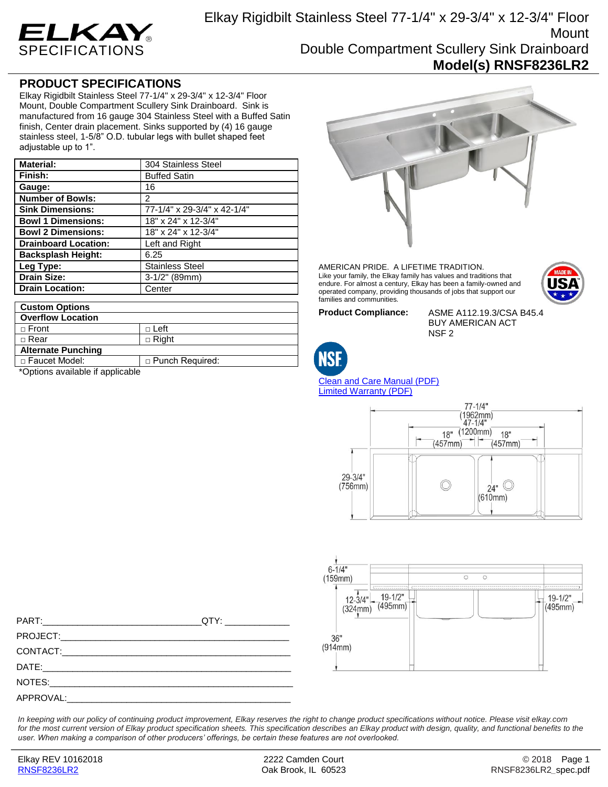

## **PRODUCT SPECIFICATIONS**

Elkay Rigidbilt Stainless Steel 77-1/4" x 29-3/4" x 12-3/4" Floor Mount, Double Compartment Scullery Sink Drainboard. Sink is manufactured from 16 gauge 304 Stainless Steel with a Buffed Satin finish, Center drain placement. Sinks supported by (4) 16 gauge stainless steel, 1-5/8" O.D. tubular legs with bullet shaped feet adjustable up to 1".

| <b>Material:</b>            | 304 Stainless Steel         |
|-----------------------------|-----------------------------|
| Finish:                     | <b>Buffed Satin</b>         |
| Gauge:                      | 16                          |
| <b>Number of Bowls:</b>     | 2                           |
| <b>Sink Dimensions:</b>     | 77-1/4" x 29-3/4" x 42-1/4" |
| <b>Bowl 1 Dimensions:</b>   | 18" x 24" x 12-3/4"         |
| <b>Bowl 2 Dimensions:</b>   | 18" x 24" x 12-3/4"         |
| <b>Drainboard Location:</b> | Left and Right              |
| <b>Backsplash Height:</b>   | 6.25                        |
| Leg Type:                   | <b>Stainless Steel</b>      |
| <b>Drain Size:</b>          | $3-1/2$ " (89mm)            |
| <b>Drain Location:</b>      | Center                      |

| <b>Custom Options</b>     |                        |
|---------------------------|------------------------|
| <b>Overflow Location</b>  |                        |
| $\sqcap$ Front            | $\sqcap$ Left          |
| $\sqcap$ Rear             | $\Box$ Right           |
| <b>Alternate Punching</b> |                        |
| □ Faucet Model:           | $\Box$ Punch Required: |

\*Options available if applicable



AMERICAN PRIDE. A LIFETIME TRADITION. Like your family, the Elkay family has values and traditions that endure. For almost a century, Elkay has been a family-owned and operated company, providing thousands of jobs that support our families and communities.



**Product Compliance:** ASME A112.19.3/CSA B45.4 BUY AMERICAN ACT NSF 2



[Clean and Care Manual \(PDF\)](http://www.elkay.com/wcsstore/lkdocs/care-cleaning-install-warranty-sheets/residential%20and%20commercial%20care%20%20cleaning.pdf) [Limited Warranty](http://www.elkay.com/wcsstore/lkdocs/care-cleaning-install-warranty-sheets/commercial%20sinks%20and%20faucets%20warranty.pdf) (PDF)





PART:\_\_\_\_\_\_\_\_\_\_\_\_\_\_\_\_\_\_\_\_\_\_\_\_\_\_\_\_\_\_\_\_QTY: \_\_\_\_\_\_\_\_\_\_\_\_\_ PROJECT: CONTACT: DATE:\_\_\_\_\_\_\_\_\_\_\_\_\_\_\_\_\_\_\_\_\_\_\_\_\_\_\_\_\_\_\_\_\_\_\_\_\_\_\_\_\_\_\_\_\_\_\_\_\_\_ NOTES: APPROVAL:

*In keeping with our policy of continuing product improvement, Elkay reserves the right to change product specifications without notice. Please visit elkay.com*  for the most current version of Elkay product specification sheets. This specification describes an Elkay product with design, quality, and functional benefits to the *user. When making a comparison of other producers' offerings, be certain these features are not overlooked.*